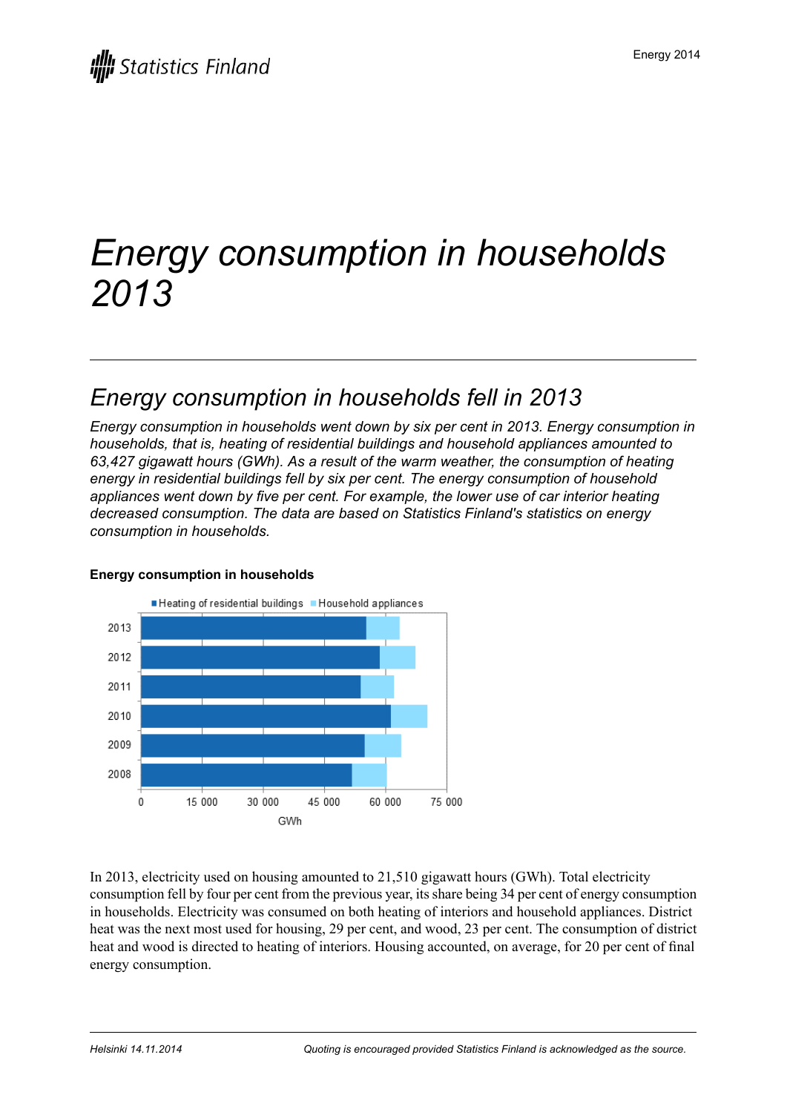# *Energy consumption in households 2013*

### *Energy consumption in households fell in 2013*

*Energy consumption in households went down by six per cent in 2013. Energy consumption in households, that is, heating of residential buildings and household appliances amounted to 63,427 gigawatt hours (GWh). As a result of the warm weather, the consumption of heating energy in residential buildings fell by six per cent. The energy consumption of household appliances went down by five per cent. For example, the lower use of car interior heating decreased consumption. The data are based on Statistics Finland's statistics on energy consumption in households.*



#### **Energy consumption in households**

In 2013, electricity used on housing amounted to 21,510 gigawatt hours (GWh). Total electricity consumption fell by four per cent from the previous year, itsshare being 34 per cent of energy consumption in households. Electricity was consumed on both heating of interiors and household appliances. District heat was the next most used for housing, 29 per cent, and wood, 23 per cent. The consumption of district heat and wood is directed to heating of interiors. Housing accounted, on average, for 20 per cent of final energy consumption.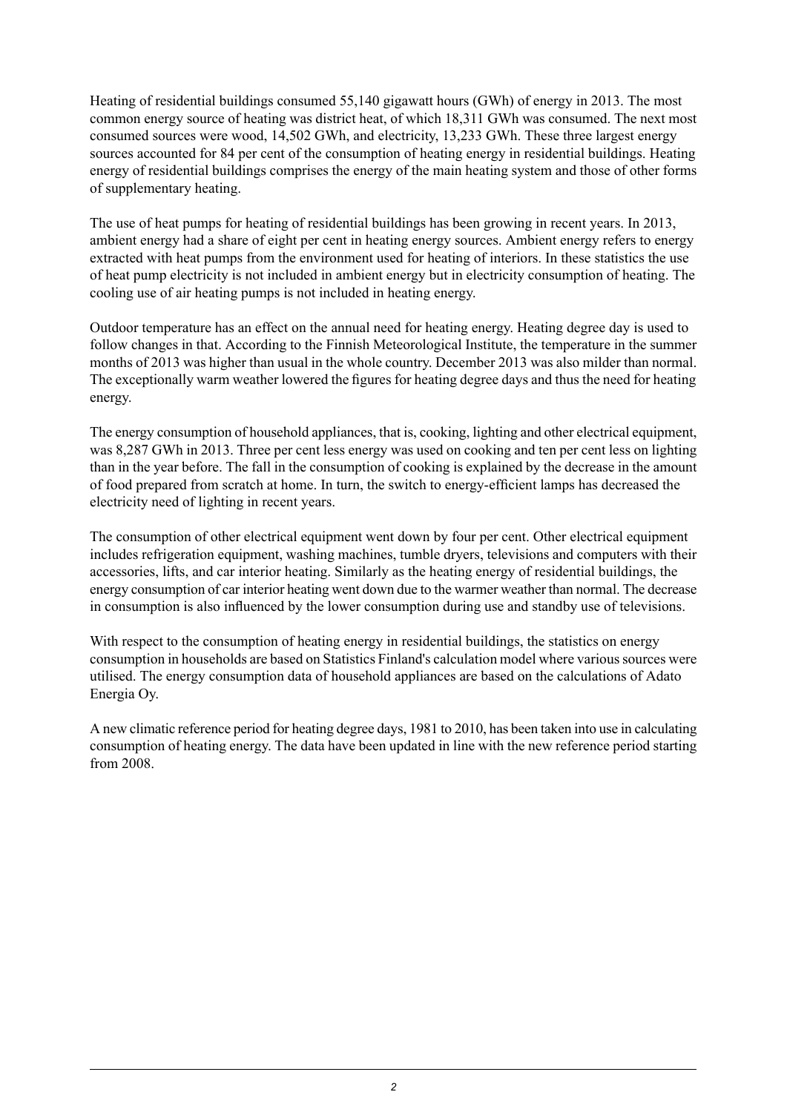Heating of residential buildings consumed 55,140 gigawatt hours (GWh) of energy in 2013. The most common energy source of heating was district heat, of which 18,311 GWh was consumed. The next most consumed sources were wood, 14,502 GWh, and electricity, 13,233 GWh. These three largest energy sources accounted for 84 per cent of the consumption of heating energy in residential buildings. Heating energy of residential buildings comprises the energy of the main heating system and those of other forms of supplementary heating.

The use of heat pumps for heating of residential buildings has been growing in recent years. In 2013, ambient energy had a share of eight per cent in heating energy sources. Ambient energy refers to energy extracted with heat pumps from the environment used for heating of interiors. In these statistics the use of heat pump electricity is not included in ambient energy but in electricity consumption of heating. The cooling use of air heating pumps is not included in heating energy.

Outdoor temperature has an effect on the annual need for heating energy. Heating degree day is used to follow changes in that. According to the Finnish Meteorological Institute, the temperature in the summer months of 2013 was higher than usual in the whole country. December 2013 was also milder than normal. The exceptionally warm weather lowered the figures for heating degree days and thus the need for heating energy.

The energy consumption of household appliances, that is, cooking, lighting and other electrical equipment, was 8,287 GWh in 2013. Three per cent less energy was used on cooking and ten per cent less on lighting than in the year before. The fall in the consumption of cooking is explained by the decrease in the amount of food prepared from scratch at home. In turn, the switch to energy-efficient lamps has decreased the electricity need of lighting in recent years.

The consumption of other electrical equipment went down by four per cent. Other electrical equipment includes refrigeration equipment, washing machines, tumble dryers, televisions and computers with their accessories, lifts, and car interior heating. Similarly as the heating energy of residential buildings, the energy consumption of car interior heating went down due to the warmer weather than normal. The decrease in consumption is also influenced by the lower consumption during use and standby use of televisions.

With respect to the consumption of heating energy in residential buildings, the statistics on energy consumption in households are based on Statistics Finland's calculation model where various sources were utilised. The energy consumption data of household appliances are based on the calculations of Adato Energia Oy.

A new climatic reference period for heating degree days, 1981 to 2010, has been taken into use in calculating consumption of heating energy. The data have been updated in line with the new reference period starting from 2008.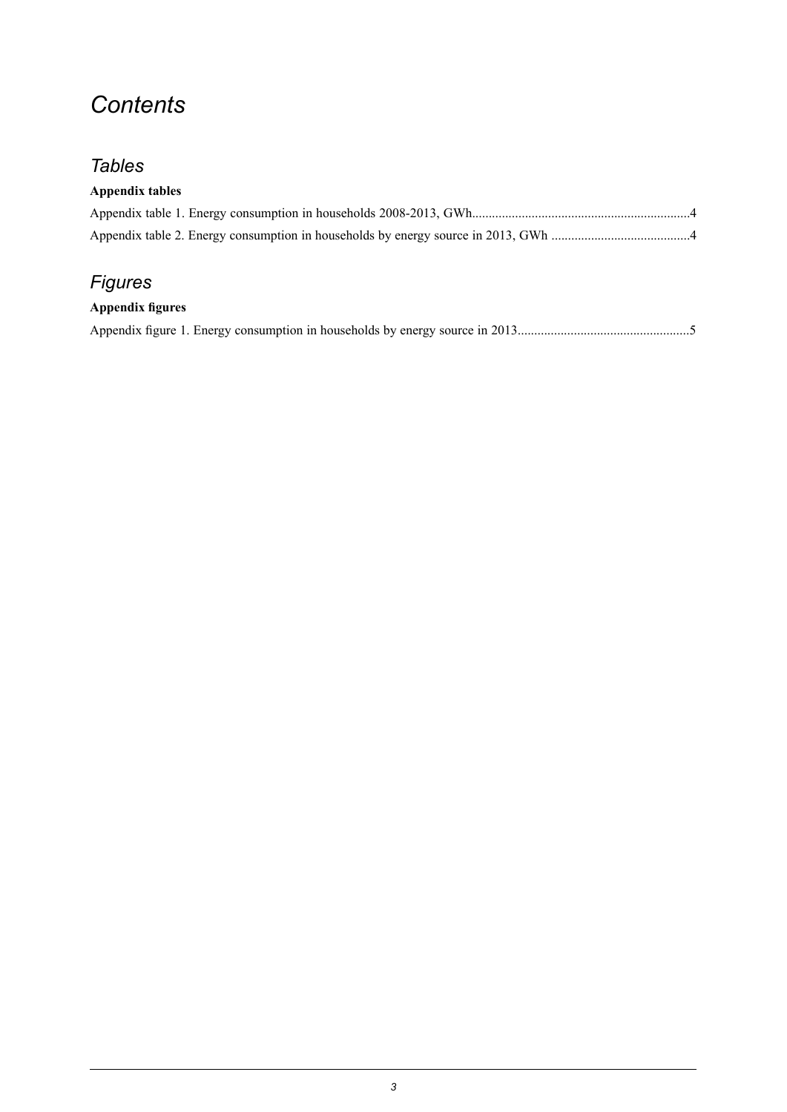## *Contents*

### *Tables*

#### **Appendix tables**

### *Figures*

#### **Appendix figures**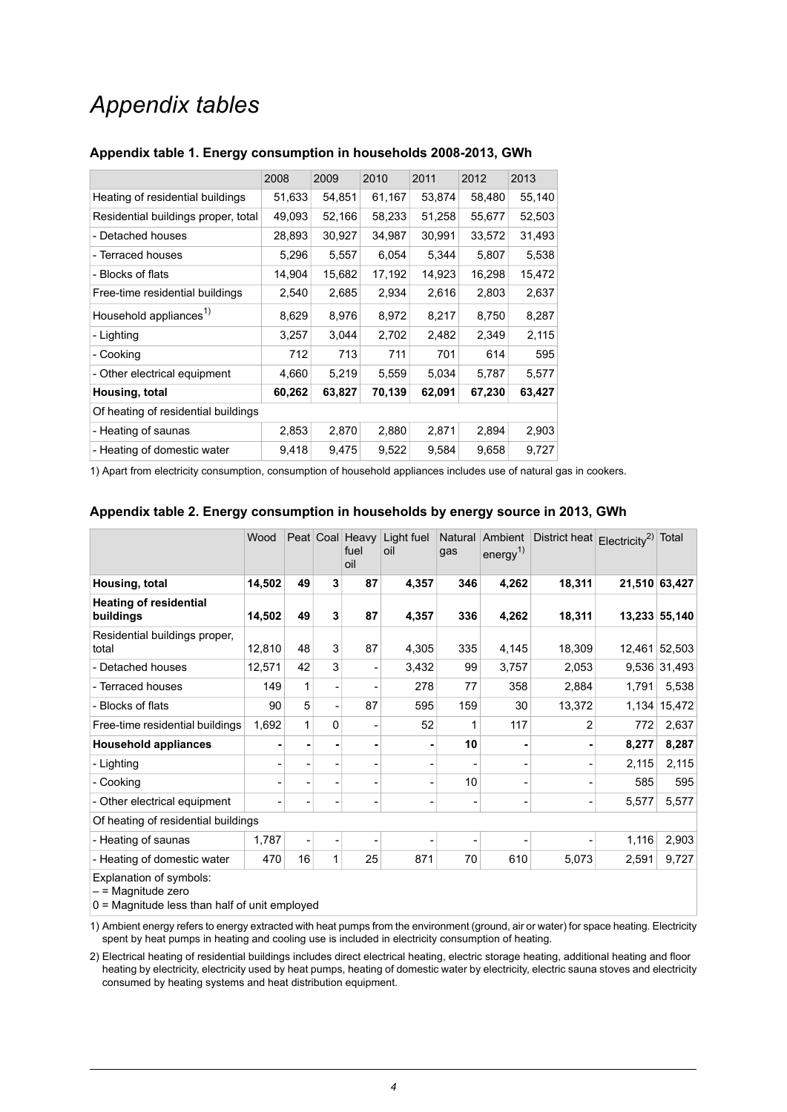### *Appendix tables*

|                                     | 2008   | 2009   | 2010   | 2011   | 2012   | 2013   |  |  |  |  |
|-------------------------------------|--------|--------|--------|--------|--------|--------|--|--|--|--|
| Heating of residential buildings    | 51,633 | 54,851 | 61,167 | 53,874 | 58,480 | 55,140 |  |  |  |  |
| Residential buildings proper, total | 49,093 | 52,166 | 58,233 | 51,258 | 55,677 | 52,503 |  |  |  |  |
| - Detached houses                   | 28,893 | 30,927 | 34,987 | 30,991 | 33,572 | 31,493 |  |  |  |  |
| - Terraced houses                   | 5,296  | 5,557  | 6,054  | 5,344  | 5,807  | 5,538  |  |  |  |  |
| - Blocks of flats                   | 14,904 | 15,682 | 17,192 | 14,923 | 16,298 | 15,472 |  |  |  |  |
| Free-time residential buildings     | 2,540  | 2,685  | 2,934  | 2,616  | 2,803  | 2,637  |  |  |  |  |
| Household appliances <sup>1)</sup>  | 8,629  | 8,976  | 8,972  | 8,217  | 8,750  | 8,287  |  |  |  |  |
| - Lighting                          | 3,257  | 3,044  | 2,702  | 2,482  | 2,349  | 2,115  |  |  |  |  |
| - Cooking                           | 712    | 713    | 711    | 701    | 614    | 595    |  |  |  |  |
| - Other electrical equipment        | 4,660  | 5,219  | 5,559  | 5,034  | 5,787  | 5,577  |  |  |  |  |
| Housing, total                      | 60,262 | 63,827 | 70,139 | 62,091 | 67,230 | 63,427 |  |  |  |  |
| Of heating of residential buildings |        |        |        |        |        |        |  |  |  |  |
| - Heating of saunas                 | 2,853  | 2,870  | 2,880  | 2,871  | 2,894  | 2,903  |  |  |  |  |
| - Heating of domestic water         | 9,418  | 9,475  | 9,522  | 9,584  | 9,658  | 9,727  |  |  |  |  |

#### <span id="page-3-0"></span>**Appendix table 1. Energy consumption in households 2008-2013, GWh**

<span id="page-3-1"></span>1) Apart from electricity consumption, consumption of household appliances includes use of natural gas in cookers.

|                                            | Wood   |                          |                          | Peat Coal Heavy<br>fuel<br>oil | Light fuel<br>oil | Natural<br>gas           | Ambient<br>energy <sup>1)</sup> | District heat | $Electricity^{2)}$ Total |               |  |  |
|--------------------------------------------|--------|--------------------------|--------------------------|--------------------------------|-------------------|--------------------------|---------------------------------|---------------|--------------------------|---------------|--|--|
| Housing, total                             | 14,502 | 49                       | 3                        | 87                             | 4,357             | 346                      | 4,262                           | 18,311        |                          | 21,510 63,427 |  |  |
| <b>Heating of residential</b><br>buildings | 14,502 | 49                       | 3                        | 87                             | 4,357             | 336                      | 4,262                           | 18,311        |                          | 13,233 55,140 |  |  |
| Residential buildings proper,<br>total     | 12,810 | 48                       | 3                        | 87                             | 4,305             | 335                      | 4,145                           | 18,309        | 12,461                   | 52,503        |  |  |
| - Detached houses                          | 12,571 | 42                       | 3                        |                                | 3,432             | 99                       | 3,757                           | 2,053         |                          | 9,536 31,493  |  |  |
| - Terraced houses                          | 149    | 1                        | $\overline{\phantom{a}}$ |                                | 278               | 77                       | 358                             | 2,884         | 1,791                    | 5,538         |  |  |
| - Blocks of flats                          | 90     | 5                        | $\overline{\phantom{a}}$ | 87                             | 595               | 159                      | 30                              | 13,372        |                          | 1,134 15,472  |  |  |
| Free-time residential buildings            | 1,692  | 1                        | 0                        |                                | 52                | 1                        | 117                             | 2             | 772                      | 2,637         |  |  |
| <b>Household appliances</b>                |        |                          |                          |                                |                   | 10                       |                                 |               | 8,277                    | 8,287         |  |  |
| - Lighting                                 |        |                          |                          |                                |                   |                          |                                 |               | 2,115                    | 2,115         |  |  |
| - Cooking                                  |        |                          |                          |                                |                   | 10                       |                                 |               | 585                      | 595           |  |  |
| - Other electrical equipment               |        |                          | $\overline{\phantom{a}}$ |                                |                   | $\overline{\phantom{a}}$ | $\overline{\phantom{0}}$        |               | 5,577                    | 5,577         |  |  |
| Of heating of residential buildings        |        |                          |                          |                                |                   |                          |                                 |               |                          |               |  |  |
| - Heating of saunas                        | 1,787  | $\overline{\phantom{a}}$ | $\overline{\phantom{a}}$ |                                |                   |                          |                                 |               | 1,116                    | 2,903         |  |  |
| - Heating of domestic water                | 470    | 16                       | $\mathbf{1}$             | 25                             | 871               | 70                       | 610                             | 5,073         | 2,591                    | 9,727         |  |  |

#### **Appendix table 2. Energy consumption in households by energy source in 2013, GWh**

Explanation of symbols:

 $-$  = Magnitude zero

 $0 =$  Magnitude less than half of unit employed

1) Ambient energy refers to energy extracted with heat pumps from the environment (ground, air or water) for space heating. Electricity spent by heat pumps in heating and cooling use is included in electricity consumption of heating.

Electrical heating of residential buildings includes direct electrical heating, electric storage heating, additional heating and floor 2) heating by electricity, electricity used by heat pumps, heating of domestic water by electricity, electric sauna stoves and electricity consumed by heating systems and heat distribution equipment.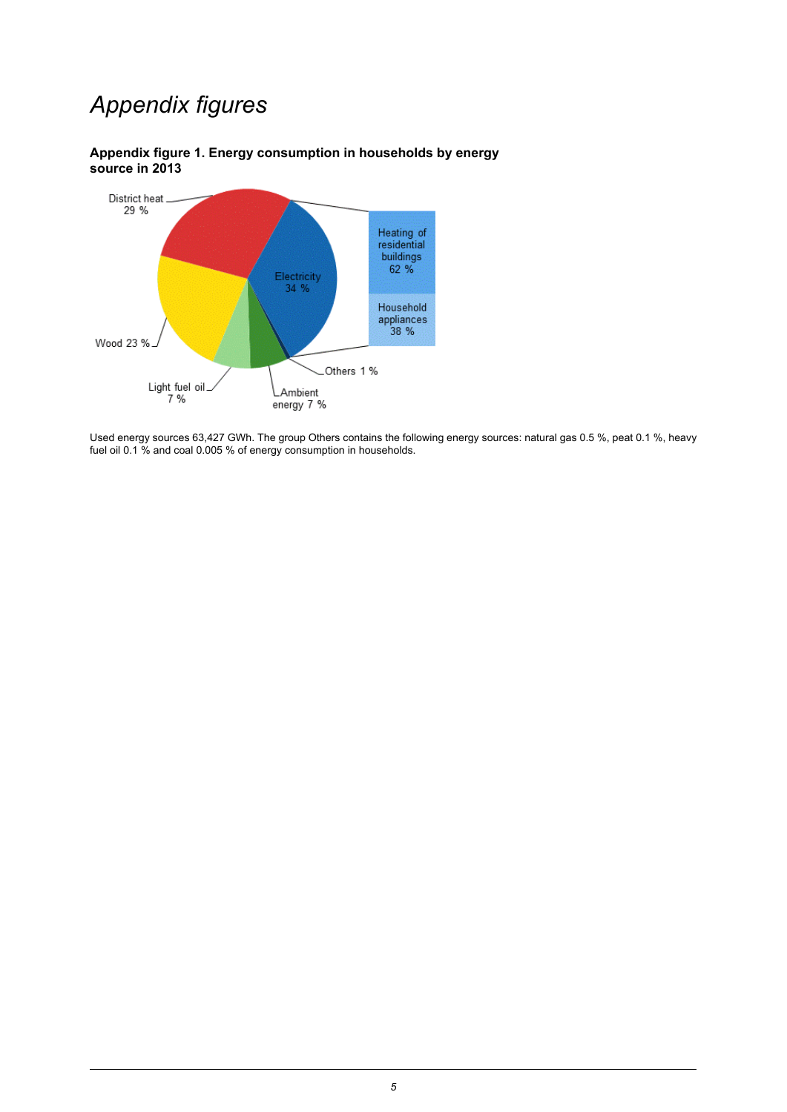## *Appendix figures*



<span id="page-4-0"></span>**Appendix figure 1. Energy consumption in households by energy source in 2013**

Used energy sources 63,427 GWh. The group Others contains the following energy sources: natural gas 0.5 %, peat 0.1 %, heavy fuel oil 0.1 % and coal 0.005 % of energy consumption in households.